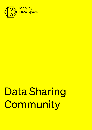

# Data Sharing **Community**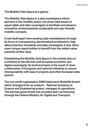#### The Mobility Data Space at a glance

The Mobility Data Space is a data marketplace where partners in the mobility sector can share data based on equal rights and data sovereignty to facilitate and advance innovative, environmentally sustainable and user-friendly mobility concepts.

It sets itself apart from existing data marketplaces through its focus on transparency, decentralized architecture, high data protection standards and data sovereignty. It also offers users unique opportunities to benefit from the added-value potential of their data.

Establishing the Mobility Data Space in the market aims to contribute to the German and European economic and digital sovereignty. Its technical basis is the result of close collaboration of European and national initiatives to ensure interoperability with Gaia-X projects and other European data spaces.

The non-profit organization DRM Datenraum Mobilität GmbH, which emerged from an acatech – National Academy of Science and Engineering project, manages its operations. The German government has provided start-up financing through the Federal Ministry for Digital and Transport.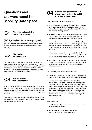### Questions and answers about the Mobility Data Space



### **01** What data is shared in the Mobility Data Space?

The Mobility Data Space offers an ecosystem to trade all types of data that foster the development of new, innovative products and services in the mobility sector – based on the highest standards of data protection and European data security.

### O2 Who can join<br>the community?

The Mobility Data Space is a data sharing community open to all organizations working on mobility solutions, no matter where they serve – road-, rail-, water- or air-based. From major vehicle manufacturers to rideshare services, from public transport operators to navigation software companies, from research institutes to bikeshare providers.

### **03** Why is a Mobility<br>Data Space needed?

High-quality data is the key resource of our time. In the mobility sector, data is an essential prerequisite for innovation such as autonomous driving, smart traffic management systems as well as user-friendly and sustainable solutions in transport and logistics.

The Mobility Data Space provides all members with equal and transparent access to data and aims to spark competition for the best ideas and concepts.



#### What advantages does the data O4 What advantages does the data<br>sharing community of the Mobility Data Space offer its users?

#### 04.1 Transparency and data sovereignty:

- All users have access to the Mobility Data Space under the same terms and conditions. Providers and purchasers of data are free to negotiate the specific terms and conditions of their transaction agreement.
- Data is transmitted directly between the contractual parties (peer-to-peer). There is no central data storage, and the data provider always knows who is using their data.
- As of now there is no other comparable mobility platform available to organizations who do not want to go through an intermediary when exchanging data. Without the MDS they have to enter time-consuming and cost-intensive individual contracts.
- Data providers can decide who can use their data. They are also free to deny certain entities the usage of their data. Pricing is completely self-determined by the providers.
- No lock-in: The technical architecture of the Data Space the IDS RAM (International Data Spaces Reference Model Architecture) – is ought to be interoperable with other Gaia-X data spaces.

#### 04.2 One-Stop-Shop for a wide range of data:

- The Mobility Data Space covers all kinds of mobility-related data, including e.g. maps, weather and infrastructure data.
- The data offered in the National Access Point for mobility data, operated as a mobility data marketplace by the German Federal Highway Research Institute, is also going to be made available in the Mobility Data Space. This includes data that public companies and authorities must share under the European guidelines on smart transport systems and open data, such as information on hazards, roadwork and available truck parking space along motorways and highways.

#### 04.3 Easy to use:

- The Mobility Data Space offers its users easy access and follows transparent rules.
- For the most basic types of data sharing, an easy-to-configure connector is available.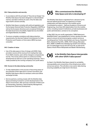#### 04.4 Data protection and security:

- In accordance with the principle of "Security by Design", the Mobility Data Space has been designed in a decentralized manner, and data is held by its users. Only the data catalogue itself is stored centrally.
- Mobility Data Space complies with antitrust legislation and the European General Data Protection Regulation (GDPR) as well as the European directives and conceptual thinking on the Data Governance Act (DGA), Digital Service Act (DSA) and Digital Markets Act (DMA).
- To ensure complete compliance with data protection requirements, the German Federal Commissioner for Data Protection and Freedom of Information (BfDI) has been consulted.

#### 04.5 Creation of value:

• Use of the data space is free of charge until 2024. Data providers receive all the revenue from trading their data. From 2024 onwards, users will be charged a comparatively low fee. This money will be spent on continuous further development as well as to cover operating expenses. This is made possible by the running company's non-profit status.

#### 04.6 Access to the data sharing community:

- To help stakeholders in the process of becoming aware of the potential of their data and to connect innovators, the Mobility Data Space offers its members online and offline exchange formats.
- Service partners, working closely with the Mobility Data Space and being involved to current developments in the Gaia-X environment, offer services in all kinds of fields such as Onboarding, Operation, Data & Identity Management, Development, Business Development.

# O5 Who commissioned the Mobility<br>Data Space and who is developing it?

The Mobility Data Space originated from a decision by the German federal government. Its objective is to foster collaboration and data sharing in the mobility sector. Coordinated by acatech – National Academy of Science and Engineering, more than 200 stakeholders from the mobility sector, including research institutions, private businesses and public administration, worked on its conception.

In May 2021, the non-profit organization "DRM Datenraum Mobilität GmbH" was established to further develop the data space to ensure its technical progress. acatech serves as founding partner. Further shareholders are Caruso, Deutsche Bahn, Deutsche Post DHL, HERE, HUK-Coburg, Mercedes-Benz, BMW via BMW Intec Beteiligungs GmbH and Volkswagen via Volkswagen Group Info Services AG, as well as the states of North Rhine-Westphalia and Baden-Württemberg.

### **O6** Is the Mobility Data Space interoperable<br>
with other GAIA-X data spaces?

As Gaia-X, the Mobility Data Space stands for portability, interoperability and connectivity of the infrastructure within and across sectors. This will allow cross-sector data sharing ensuring scalability at a high level in the future.